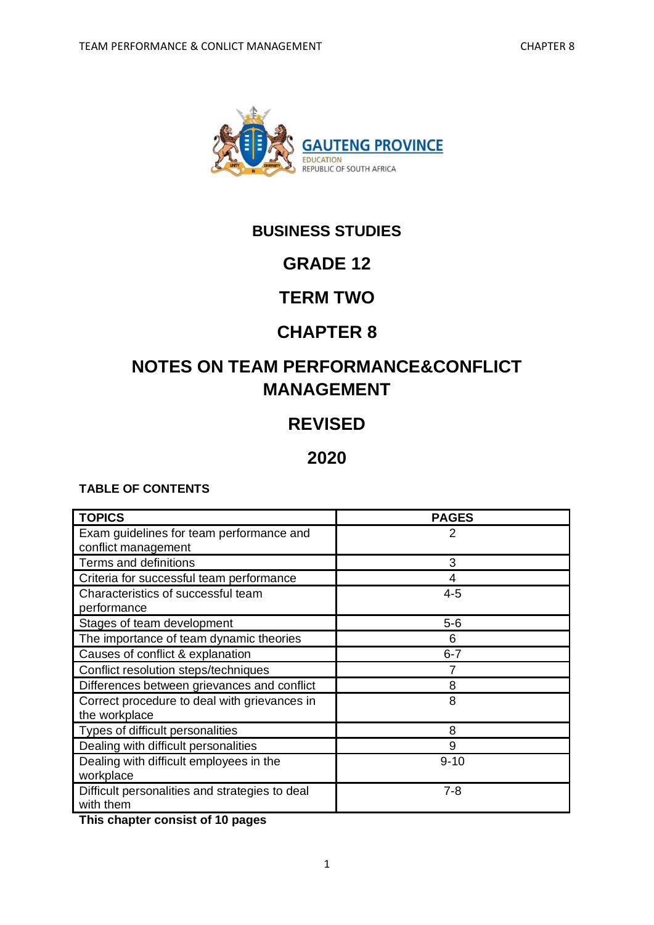

## **BUSINESS STUDIES**

## **GRADE 12**

## **TERM TWO**

## **CHAPTER 8**

# **NOTES ON TEAM PERFORMANCE&CONFLICT MANAGEMENT**

## **REVISED**

## **2020**

## **TABLE OF CONTENTS**

| <b>TOPICS</b>                                  | <b>PAGES</b> |
|------------------------------------------------|--------------|
| Exam guidelines for team performance and       | 2            |
| conflict management                            |              |
| Terms and definitions                          | 3            |
| Criteria for successful team performance       |              |
| Characteristics of successful team             | $4 - 5$      |
| performance                                    |              |
| Stages of team development                     | $5-6$        |
| The importance of team dynamic theories        | 6            |
| Causes of conflict & explanation               | $6 - 7$      |
| Conflict resolution steps/techniques           | 7            |
| Differences between grievances and conflict    | 8            |
| Correct procedure to deal with grievances in   | 8            |
| the workplace                                  |              |
| Types of difficult personalities               | 8            |
| Dealing with difficult personalities           | 9            |
| Dealing with difficult employees in the        | $9 - 10$     |
| workplace                                      |              |
| Difficult personalities and strategies to deal | $7 - 8$      |
| with them                                      |              |

**This chapter consist of 10 pages**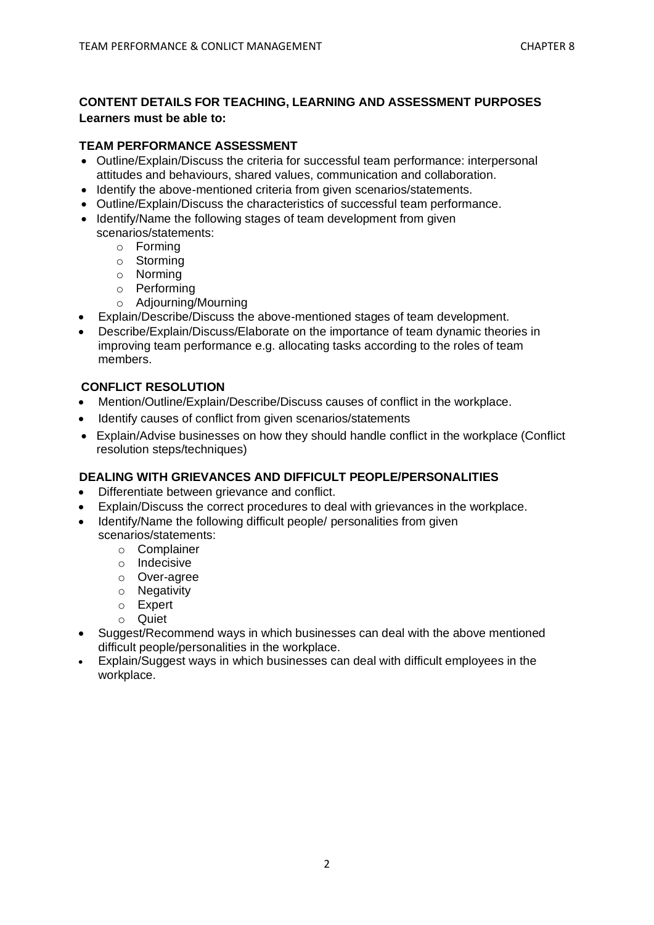#### **CONTENT DETAILS FOR TEACHING, LEARNING AND ASSESSMENT PURPOSES Learners must be able to:**

#### **TEAM PERFORMANCE ASSESSMENT**

- Outline/Explain/Discuss the criteria for successful team performance: interpersonal attitudes and behaviours, shared values, communication and collaboration.
- Identify the above-mentioned criteria from given scenarios/statements.
- Outline/Explain/Discuss the characteristics of successful team performance.
- Identify/Name the following stages of team development from given scenarios/statements:
	- o Forming
	- o Storming
	- o Norming
	- o Performing
	- o Adjourning/Mourning
- Explain/Describe/Discuss the above-mentioned stages of team development.
- Describe/Explain/Discuss/Elaborate on the importance of team dynamic theories in improving team performance e.g. allocating tasks according to the roles of team members.

#### **CONFLICT RESOLUTION**

- Mention/Outline/Explain/Describe/Discuss causes of conflict in the workplace.
- Identify causes of conflict from given scenarios/statements
- Explain/Advise businesses on how they should handle conflict in the workplace (Conflict resolution steps/techniques)

### **DEALING WITH GRIEVANCES AND DIFFICULT PEOPLE/PERSONALITIES**

- Differentiate between grievance and conflict.
- Explain/Discuss the correct procedures to deal with grievances in the workplace.
- Identify/Name the following difficult people/ personalities from given scenarios/statements:
	- o Complainer
	- o Indecisive
	- o Over-agree
	- o Negativity
	- o Expert
	- o Quiet
- Suggest/Recommend ways in which businesses can deal with the above mentioned difficult people/personalities in the workplace.
- Explain/Suggest ways in which businesses can deal with difficult employees in the workplace.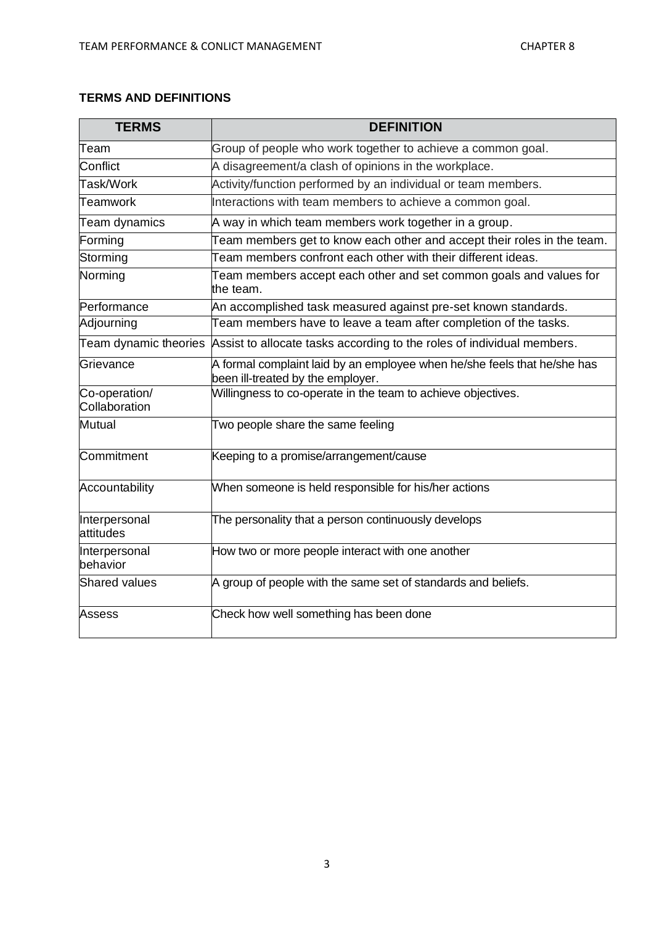### **TERMS AND DEFINITIONS**

| <b>TERMS</b>                   | <b>DEFINITION</b>                                                                                             |
|--------------------------------|---------------------------------------------------------------------------------------------------------------|
| Team                           | Group of people who work together to achieve a common goal.                                                   |
| Conflict                       | A disagreement/a clash of opinions in the workplace.                                                          |
| Task/Work                      | Activity/function performed by an individual or team members.                                                 |
| Teamwork                       | Interactions with team members to achieve a common goal.                                                      |
| Team dynamics                  | A way in which team members work together in a group.                                                         |
| Forming                        | Team members get to know each other and accept their roles in the team.                                       |
| Storming                       | Team members confront each other with their different ideas.                                                  |
| Norming                        | Team members accept each other and set common goals and values for<br>the team.                               |
| Performance                    | An accomplished task measured against pre-set known standards.                                                |
| Adjourning                     | Team members have to leave a team after completion of the tasks.                                              |
| Team dynamic theories          | Assist to allocate tasks according to the roles of individual members.                                        |
| Grievance                      | A formal complaint laid by an employee when he/she feels that he/she has<br>been ill-treated by the employer. |
| Co-operation/<br>Collaboration | Willingness to co-operate in the team to achieve objectives.                                                  |
| <b>Mutual</b>                  | Two people share the same feeling                                                                             |
| Commitment                     | Keeping to a promise/arrangement/cause                                                                        |
| Accountability                 | When someone is held responsible for his/her actions                                                          |
| Interpersonal<br>attitudes     | The personality that a person continuously develops                                                           |
| Interpersonal<br>behavior      | How two or more people interact with one another                                                              |
| Shared values                  | A group of people with the same set of standards and beliefs.                                                 |
| <b>Assess</b>                  | Check how well something has been done                                                                        |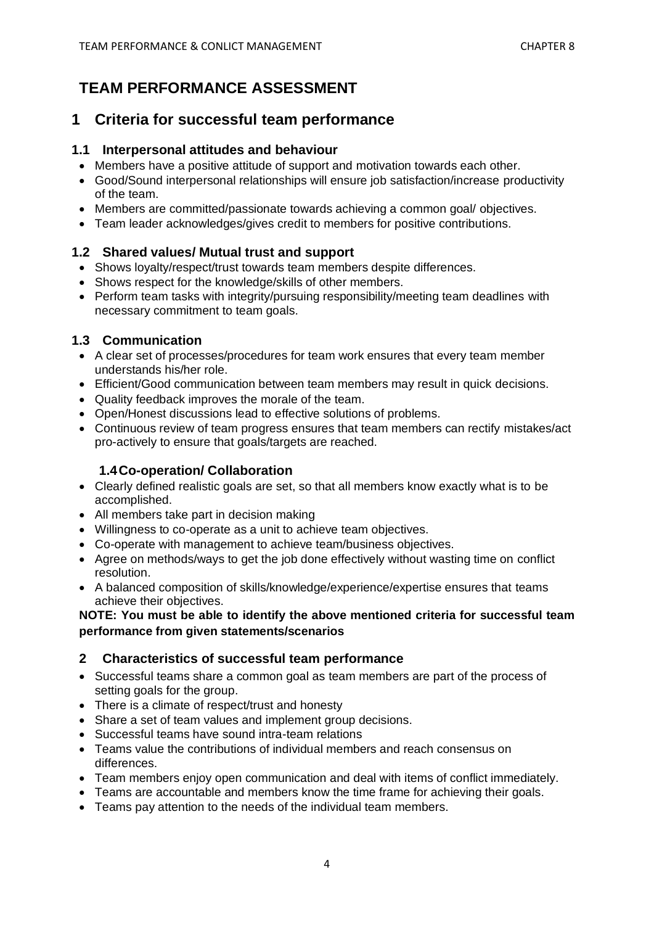## **TEAM PERFORMANCE ASSESSMENT**

## **1 Criteria for successful team performance**

### **1.1 Interpersonal attitudes and behaviour**

- Members have a positive attitude of support and motivation towards each other.
- Good/Sound interpersonal relationships will ensure job satisfaction/increase productivity of the team.
- Members are committed/passionate towards achieving a common goal/ objectives.
- Team leader acknowledges/gives credit to members for positive contributions.

## **1.2 Shared values/ Mutual trust and support**

- Shows loyalty/respect/trust towards team members despite differences.
- Shows respect for the knowledge/skills of other members.
- Perform team tasks with integrity/pursuing responsibility/meeting team deadlines with necessary commitment to team goals.

## **1.3 Communication**

- A clear set of processes/procedures for team work ensures that every team member understands his/her role.
- Efficient/Good communication between team members may result in quick decisions.
- Quality feedback improves the morale of the team.
- Open/Honest discussions lead to effective solutions of problems.
- Continuous review of team progress ensures that team members can rectify mistakes/act pro-actively to ensure that goals/targets are reached.

## **1.4Co-operation/ Collaboration**

- Clearly defined realistic goals are set, so that all members know exactly what is to be accomplished.
- All members take part in decision making
- Willingness to co-operate as a unit to achieve team objectives.
- Co-operate with management to achieve team/business objectives.
- Agree on methods/ways to get the job done effectively without wasting time on conflict resolution.
- A balanced composition of skills/knowledge/experience/expertise ensures that teams achieve their objectives.

#### **NOTE: You must be able to identify the above mentioned criteria for successful team performance from given statements/scenarios**

## **2 Characteristics of successful team performance**

- Successful teams share a common goal as team members are part of the process of setting goals for the group.
- There is a climate of respect/trust and honesty
- Share a set of team values and implement group decisions.
- Successful teams have sound intra-team relations
- Teams value the contributions of individual members and reach consensus on differences.
- Team members enjoy open communication and deal with items of conflict immediately.
- Teams are accountable and members know the time frame for achieving their goals.
- Teams pay attention to the needs of the individual team members.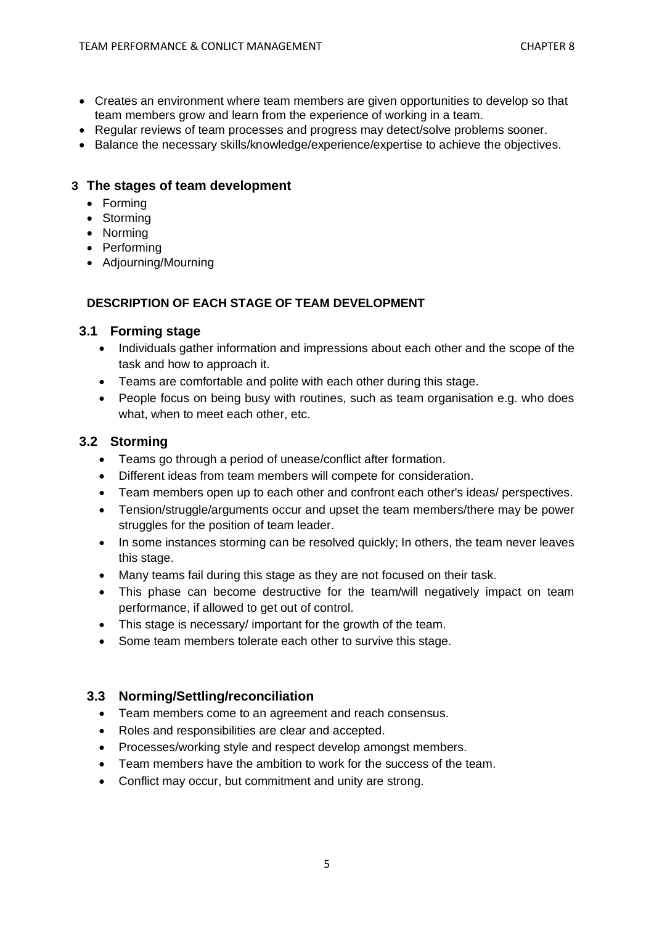- Creates an environment where team members are given opportunities to develop so that team members grow and learn from the experience of working in a team.
- Regular reviews of team processes and progress may detect/solve problems sooner.
- Balance the necessary skills/knowledge/experience/expertise to achieve the objectives.

#### **3 The stages of team development**

- Forming
- Storming
- Norming
- Performing
- Adjourning/Mourning

#### **DESCRIPTION OF EACH STAGE OF TEAM DEVELOPMENT**

#### **3.1 Forming stage**

- Individuals gather information and impressions about each other and the scope of the task and how to approach it.
- Teams are comfortable and polite with each other during this stage.
- People focus on being busy with routines, such as team organisation e.g. who does what, when to meet each other, etc.

#### **3.2 Storming**

- Teams go through a period of unease/conflict after formation.
- Different ideas from team members will compete for consideration.
- Team members open up to each other and confront each other's ideas/ perspectives.
- Tension/struggle/arguments occur and upset the team members/there may be power struggles for the position of team leader.
- In some instances storming can be resolved quickly; In others, the team never leaves this stage.
- Many teams fail during this stage as they are not focused on their task.
- This phase can become destructive for the team/will negatively impact on team performance, if allowed to get out of control.
- This stage is necessary/ important for the growth of the team.
- Some team members tolerate each other to survive this stage.

#### **3.3 Norming/Settling/reconciliation**

- Team members come to an agreement and reach consensus.
- Roles and responsibilities are clear and accepted.
- Processes/working style and respect develop amongst members.
- Team members have the ambition to work for the success of the team.
- Conflict may occur, but commitment and unity are strong.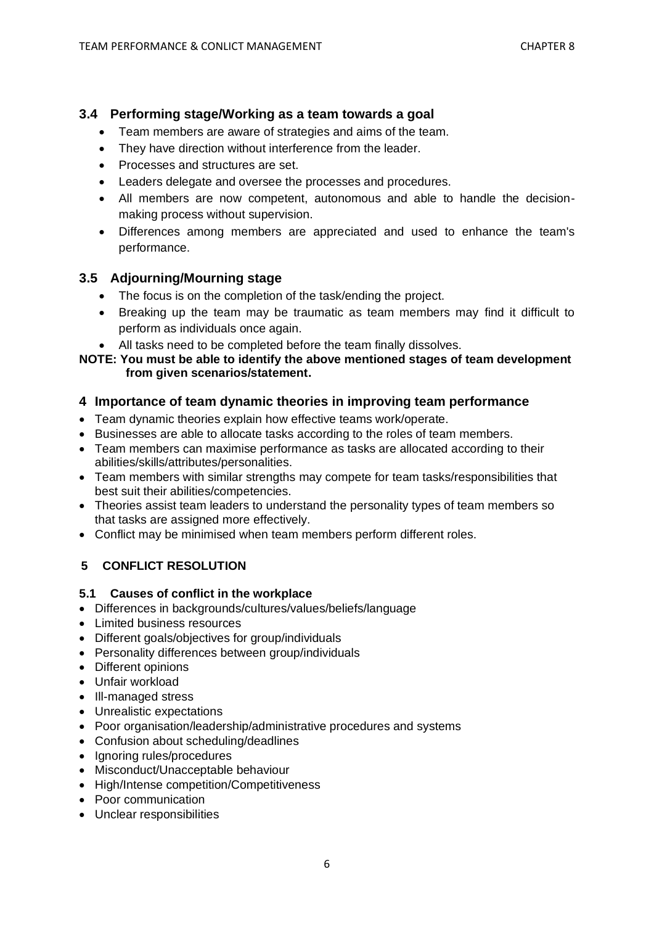### **3.4 Performing stage/Working as a team towards a goal**

- Team members are aware of strategies and aims of the team.
- They have direction without interference from the leader.
- Processes and structures are set.
- Leaders delegate and oversee the processes and procedures.
- All members are now competent, autonomous and able to handle the decisionmaking process without supervision.
- Differences among members are appreciated and used to enhance the team's performance.

### **3.5 Adjourning/Mourning stage**

- The focus is on the completion of the task/ending the project.
- Breaking up the team may be traumatic as team members may find it difficult to perform as individuals once again.
- All tasks need to be completed before the team finally dissolves.

#### **NOTE: You must be able to identify the above mentioned stages of team development from given scenarios/statement.**

#### **4 Importance of team dynamic theories in improving team performance**

- Team dynamic theories explain how effective teams work/operate.
- Businesses are able to allocate tasks according to the roles of team members.
- Team members can maximise performance as tasks are allocated according to their abilities/skills/attributes/personalities.
- Team members with similar strengths may compete for team tasks/responsibilities that best suit their abilities/competencies.
- Theories assist team leaders to understand the personality types of team members so that tasks are assigned more effectively.
- Conflict may be minimised when team members perform different roles.

## **5 CONFLICT RESOLUTION**

#### **5.1 Causes of conflict in the workplace**

- Differences in backgrounds/cultures/values/beliefs/language
- Limited business resources
- Different goals/objectives for group/individuals
- Personality differences between group/individuals
- Different opinions
- Unfair workload
- Ill-managed stress
- Unrealistic expectations
- Poor organisation/leadership/administrative procedures and systems
- Confusion about scheduling/deadlines
- Ignoring rules/procedures
- Misconduct/Unacceptable behaviour
- High/Intense competition/Competitiveness
- Poor communication
- Unclear responsibilities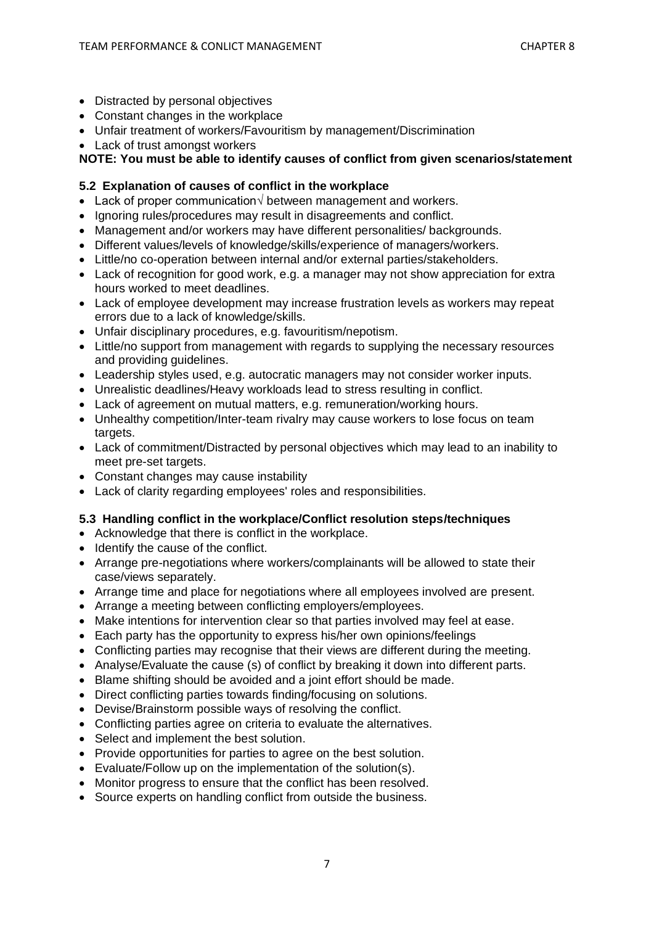- Distracted by personal objectives
- Constant changes in the workplace
- Unfair treatment of workers/Favouritism by management/Discrimination
- Lack of trust amongst workers

**NOTE: You must be able to identify causes of conflict from given scenarios/statement**

#### **5.2 Explanation of causes of conflict in the workplace**

- Lack of proper communication√ between management and workers.
- Ignoring rules/procedures may result in disagreements and conflict.
- Management and/or workers may have different personalities/ backgrounds.
- Different values/levels of knowledge/skills/experience of managers/workers.
- Little/no co-operation between internal and/or external parties/stakeholders.
- Lack of recognition for good work, e.g. a manager may not show appreciation for extra hours worked to meet deadlines.
- Lack of employee development may increase frustration levels as workers may repeat errors due to a lack of knowledge/skills.
- Unfair disciplinary procedures, e.g. favouritism/nepotism.
- Little/no support from management with regards to supplying the necessary resources and providing guidelines.
- Leadership styles used, e.g. autocratic managers may not consider worker inputs.
- Unrealistic deadlines/Heavy workloads lead to stress resulting in conflict.
- Lack of agreement on mutual matters, e.g. remuneration/working hours.
- Unhealthy competition/Inter-team rivalry may cause workers to lose focus on team targets.
- Lack of commitment/Distracted by personal objectives which may lead to an inability to meet pre-set targets.
- Constant changes may cause instability
- Lack of clarity regarding employees' roles and responsibilities.

#### **5.3 Handling conflict in the workplace/Conflict resolution steps/techniques**

- Acknowledge that there is conflict in the workplace.
- Identify the cause of the conflict.
- Arrange pre-negotiations where workers/complainants will be allowed to state their case/views separately.
- Arrange time and place for negotiations where all employees involved are present.
- Arrange a meeting between conflicting employers/employees.
- Make intentions for intervention clear so that parties involved may feel at ease.
- Each party has the opportunity to express his/her own opinions/feelings
- Conflicting parties may recognise that their views are different during the meeting.
- Analyse/Evaluate the cause (s) of conflict by breaking it down into different parts.
- Blame shifting should be avoided and a joint effort should be made.
- Direct conflicting parties towards finding/focusing on solutions.
- Devise/Brainstorm possible ways of resolving the conflict.
- Conflicting parties agree on criteria to evaluate the alternatives.
- Select and implement the best solution.
- Provide opportunities for parties to agree on the best solution.
- Evaluate/Follow up on the implementation of the solution(s).
- Monitor progress to ensure that the conflict has been resolved.
- Source experts on handling conflict from outside the business.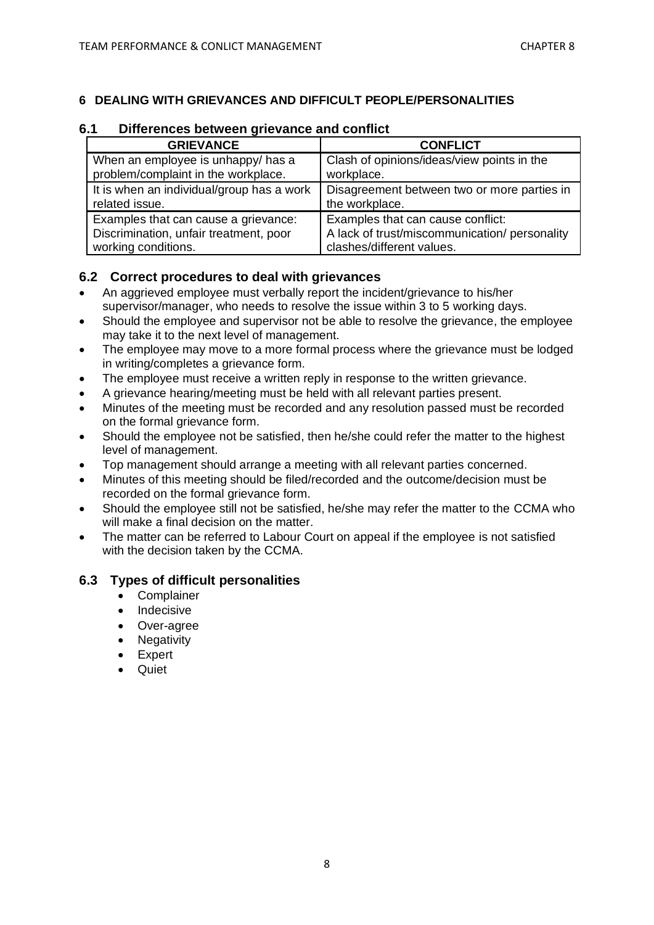#### **6 DEALING WITH GRIEVANCES AND DIFFICULT PEOPLE/PERSONALITIES**

### **6.1 Differences between grievance and conflict**

| <b>GRIEVANCE</b>                                                          | <b>CONFLICT</b>                                          |
|---------------------------------------------------------------------------|----------------------------------------------------------|
| When an employee is unhappy/ has a<br>problem/complaint in the workplace. | Clash of opinions/ideas/view points in the<br>workplace. |
|                                                                           |                                                          |
| It is when an individual/group has a work                                 | Disagreement between two or more parties in              |
| related issue.                                                            | the workplace.                                           |
| Examples that can cause a grievance:                                      | Examples that can cause conflict:                        |
| Discrimination, unfair treatment, poor                                    | A lack of trust/miscommunication/ personality            |
| working conditions.                                                       | clashes/different values.                                |

#### **6.2 Correct procedures to deal with grievances**

- An aggrieved employee must verbally report the incident/grievance to his/her supervisor/manager, who needs to resolve the issue within 3 to 5 working days.
- Should the employee and supervisor not be able to resolve the grievance, the employee may take it to the next level of management.
- The employee may move to a more formal process where the grievance must be lodged in writing/completes a grievance form.
- The employee must receive a written reply in response to the written grievance.
- A grievance hearing/meeting must be held with all relevant parties present.
- Minutes of the meeting must be recorded and any resolution passed must be recorded on the formal grievance form.
- Should the employee not be satisfied, then he/she could refer the matter to the highest level of management.
- Top management should arrange a meeting with all relevant parties concerned.
- Minutes of this meeting should be filed/recorded and the outcome/decision must be recorded on the formal grievance form.
- Should the employee still not be satisfied, he/she may refer the matter to the CCMA who will make a final decision on the matter.
- The matter can be referred to Labour Court on appeal if the employee is not satisfied with the decision taken by the CCMA.

#### **6.3 Types of difficult personalities**

- Complainer
- Indecisive
- Over-agree
- Negativity
- **Expert**
- Quiet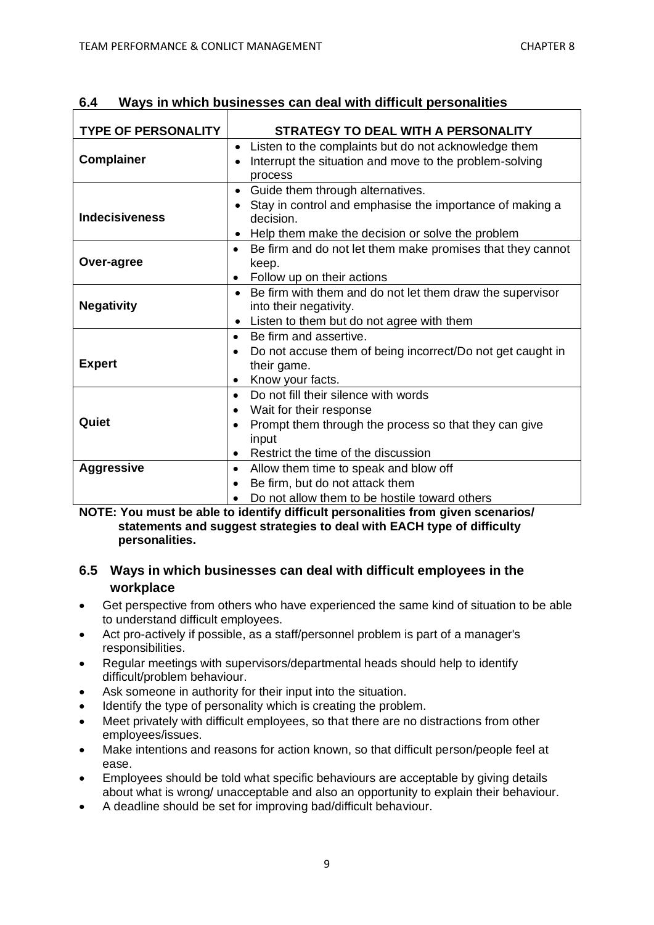| <b>TYPE OF PERSONALITY</b> | STRATEGY TO DEAL WITH A PERSONALITY                                                                                                                                                                     |
|----------------------------|---------------------------------------------------------------------------------------------------------------------------------------------------------------------------------------------------------|
| <b>Complainer</b>          | Listen to the complaints but do not acknowledge them<br>Interrupt the situation and move to the problem-solving<br>$\bullet$<br>process                                                                 |
| <b>Indecisiveness</b>      | Guide them through alternatives.<br>$\bullet$<br>Stay in control and emphasise the importance of making a<br>decision.<br>Help them make the decision or solve the problem                              |
| Over-agree                 | Be firm and do not let them make promises that they cannot<br>$\bullet$<br>keep.<br>Follow up on their actions                                                                                          |
| <b>Negativity</b>          | Be firm with them and do not let them draw the supervisor<br>into their negativity.<br>Listen to them but do not agree with them<br>$\bullet$                                                           |
| <b>Expert</b>              | Be firm and assertive.<br>$\bullet$<br>Do not accuse them of being incorrect/Do not get caught in<br>their game.<br>Know your facts.                                                                    |
| Quiet                      | Do not fill their silence with words<br>$\bullet$<br>Wait for their response<br>٠<br>Prompt them through the process so that they can give<br>$\bullet$<br>input<br>Restrict the time of the discussion |
| <b>Aggressive</b>          | Allow them time to speak and blow off<br>٠<br>Be firm, but do not attack them<br>Do not allow them to be hostile toward others                                                                          |

**6.4 Ways in which businesses can deal with difficult personalities**

**NOTE: You must be able to identify difficult personalities from given scenarios/ statements and suggest strategies to deal with EACH type of difficulty personalities.**

### **6.5 Ways in which businesses can deal with difficult employees in the workplace**

- Get perspective from others who have experienced the same kind of situation to be able to understand difficult employees.
- Act pro-actively if possible, as a staff/personnel problem is part of a manager's responsibilities.
- Regular meetings with supervisors/departmental heads should help to identify difficult/problem behaviour.
- Ask someone in authority for their input into the situation.
- Identify the type of personality which is creating the problem.
- Meet privately with difficult employees, so that there are no distractions from other employees/issues.
- Make intentions and reasons for action known, so that difficult person/people feel at ease.
- Employees should be told what specific behaviours are acceptable by giving details about what is wrong/ unacceptable and also an opportunity to explain their behaviour.
- A deadline should be set for improving bad/difficult behaviour.